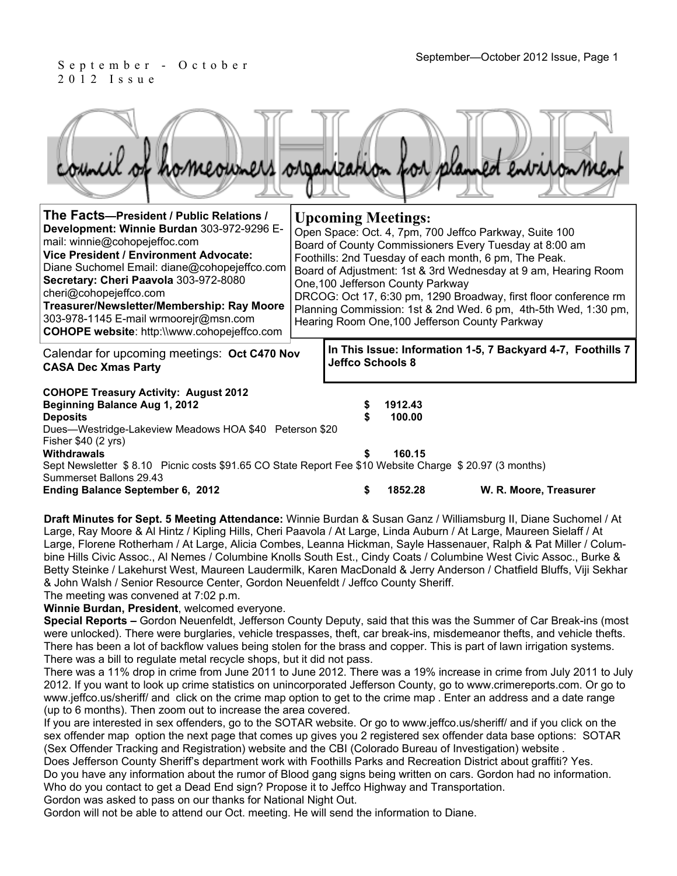September—October 2012 Issue, Page 1<br>September—October 2012 Issue, Page 1 2012 Issue

| council of homeowners organization for planned environmen                                                                                                                                                                                                                                                                                                                                                                         |  |                           |                                   |                                                                                                                                                                                                                                                                                                                                                                                                                                      |
|-----------------------------------------------------------------------------------------------------------------------------------------------------------------------------------------------------------------------------------------------------------------------------------------------------------------------------------------------------------------------------------------------------------------------------------|--|---------------------------|-----------------------------------|--------------------------------------------------------------------------------------------------------------------------------------------------------------------------------------------------------------------------------------------------------------------------------------------------------------------------------------------------------------------------------------------------------------------------------------|
| The Facts-President / Public Relations /<br>Development: Winnie Burdan 303-972-9296 E-<br>mail: winnie@cohopejeffoc.com<br><b>Vice President / Environment Advocate:</b><br>Diane Suchomel Email: diane@cohopejeffco.com<br>Secretary: Cheri Paavola 303-972-8080<br>cheri@cohopejeffco.com<br>Treasurer/Newsletter/Membership: Ray Moore<br>303-978-1145 E-mail wrmoorejr@msn.com<br>COHOPE website: http://www.cohopejeffco.com |  | <b>Upcoming Meetings:</b> | One, 100 Jefferson County Parkway | Open Space: Oct. 4, 7pm, 700 Jeffco Parkway, Suite 100<br>Board of County Commissioners Every Tuesday at 8:00 am<br>Foothills: 2nd Tuesday of each month, 6 pm, The Peak.<br>Board of Adjustment: 1st & 3rd Wednesday at 9 am, Hearing Room<br>DRCOG: Oct 17, 6:30 pm, 1290 Broadway, first floor conference rm<br>Planning Commission: 1st & 2nd Wed. 6 pm, 4th-5th Wed, 1:30 pm,<br>Hearing Room One, 100 Jefferson County Parkway |
| Calendar for upcoming meetings: Oct C470 Nov<br><b>CASA Dec Xmas Party</b>                                                                                                                                                                                                                                                                                                                                                        |  | Jeffco Schools 8          |                                   | In This Issue: Information 1-5, 7 Backyard 4-7, Foothills 7                                                                                                                                                                                                                                                                                                                                                                          |
| <b>COHOPE Treasury Activity: August 2012</b><br><b>Beginning Balance Aug 1, 2012</b><br>1912.43<br>\$<br>100.00<br><b>Deposits</b><br>Dues-Westridge-Lakeview Meadows HOA \$40 Peterson \$20<br>Fisher \$40 (2 yrs)<br><b>Withdrawals</b><br>160.15<br>Sept Newsletter \$8.10 Picnic costs \$91.65 CO State Report Fee \$10 Website Charge \$20.97 (3 months)                                                                     |  |                           |                                   |                                                                                                                                                                                                                                                                                                                                                                                                                                      |
| Summerset Ballons 29.43<br>Ending Balance September 6, 2012                                                                                                                                                                                                                                                                                                                                                                       |  | S                         | 1852.28                           | W. R. Moore, Treasurer                                                                                                                                                                                                                                                                                                                                                                                                               |

**Draft Minutes for Sept. 5 Meeting Attendance:** Winnie Burdan & Susan Ganz / Williamsburg II, Diane Suchomel / At Large, Ray Moore & Al Hintz / Kipling Hills, Cheri Paavola / At Large, Linda Auburn / At Large, Maureen Sielaff / At Large, Florene Rotherham / At Large, Alicia Combes, Leanna Hickman, Sayle Hassenauer, Ralph & Pat Miller / Columbine Hills Civic Assoc., Al Nemes / Columbine Knolls South Est., Cindy Coats / Columbine West Civic Assoc., Burke & Betty Steinke / Lakehurst West, Maureen Laudermilk, Karen MacDonald & Jerry Anderson / Chatfield Bluffs, Viji Sekhar & John Walsh / Senior Resource Center, Gordon Neuenfeldt / Jeffco County Sheriff. The meeting was convened at 7:02 p.m.

**Winnie Burdan, President**, welcomed everyone.

**Special Reports –** Gordon Neuenfeldt, Jefferson County Deputy, said that this was the Summer of Car Break-ins (most were unlocked). There were burglaries, vehicle trespasses, theft, car break-ins, misdemeanor thefts, and vehicle thefts. There has been a lot of backflow values being stolen for the brass and copper. This is part of lawn irrigation systems. There was a bill to regulate metal recycle shops, but it did not pass.

There was a 11% drop in crime from June 2011 to June 2012. There was a 19% increase in crime from July 2011 to July 2012. If you want to look up crime statistics on unincorporated Jefferson County, go to www.crimereports.com. Or go to www.jeffco.us/sheriff/ and click on the crime map option to get to the crime map . Enter an address and a date range (up to 6 months). Then zoom out to increase the area covered.

If you are interested in sex offenders, go to the SOTAR website. Or go to www.jeffco.us/sheriff/ and if you click on the sex offender map option the next page that comes up gives you 2 registered sex offender data base options: SOTAR (Sex Offender Tracking and Registration) website and the CBI (Colorado Bureau of Investigation) website .

Does Jefferson County Sheriff's department work with Foothills Parks and Recreation District about graffiti? Yes. Do you have any information about the rumor of Blood gang signs being written on cars. Gordon had no information. Who do you contact to get a Dead End sign? Propose it to Jeffco Highway and Transportation.

Gordon was asked to pass on our thanks for National Night Out.

Gordon will not be able to attend our Oct. meeting. He will send the information to Diane.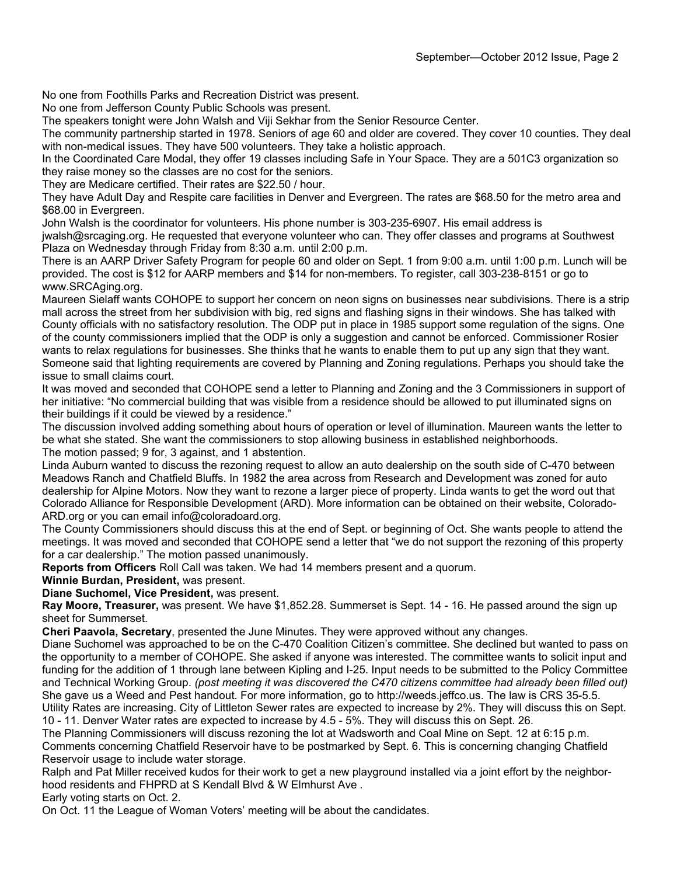No one from Foothills Parks and Recreation District was present.

No one from Jefferson County Public Schools was present.

The speakers tonight were John Walsh and Viji Sekhar from the Senior Resource Center.

The community partnership started in 1978. Seniors of age 60 and older are covered. They cover 10 counties. They deal with non-medical issues. They have 500 volunteers. They take a holistic approach.

In the Coordinated Care Modal, they offer 19 classes including Safe in Your Space. They are a 501C3 organization so they raise money so the classes are no cost for the seniors.

They are Medicare certified. Their rates are \$22.50 / hour.

They have Adult Day and Respite care facilities in Denver and Evergreen. The rates are \$68.50 for the metro area and \$68.00 in Evergreen.

John Walsh is the coordinator for volunteers. His phone number is 303-235-6907. His email address is

jwalsh@srcaging.org. He requested that everyone volunteer who can. They offer classes and programs at Southwest Plaza on Wednesday through Friday from 8:30 a.m. until 2:00 p.m.

There is an AARP Driver Safety Program for people 60 and older on Sept. 1 from 9:00 a.m. until 1:00 p.m. Lunch will be provided. The cost is \$12 for AARP members and \$14 for non-members. To register, call 303-238-8151 or go to www.SRCAging.org.

Maureen Sielaff wants COHOPE to support her concern on neon signs on businesses near subdivisions. There is a strip mall across the street from her subdivision with big, red signs and flashing signs in their windows. She has talked with County officials with no satisfactory resolution. The ODP put in place in 1985 support some regulation of the signs. One of the county commissioners implied that the ODP is only a suggestion and cannot be enforced. Commissioner Rosier wants to relax regulations for businesses. She thinks that he wants to enable them to put up any sign that they want. Someone said that lighting requirements are covered by Planning and Zoning regulations. Perhaps you should take the issue to small claims court.

It was moved and seconded that COHOPE send a letter to Planning and Zoning and the 3 Commissioners in support of her initiative: "No commercial building that was visible from a residence should be allowed to put illuminated signs on their buildings if it could be viewed by a residence."

The discussion involved adding something about hours of operation or level of illumination. Maureen wants the letter to be what she stated. She want the commissioners to stop allowing business in established neighborhoods. The motion passed; 9 for, 3 against, and 1 abstention.

Linda Auburn wanted to discuss the rezoning request to allow an auto dealership on the south side of C-470 between Meadows Ranch and Chatfield Bluffs. In 1982 the area across from Research and Development was zoned for auto dealership for Alpine Motors. Now they want to rezone a larger piece of property. Linda wants to get the word out that Colorado Alliance for Responsible Development (ARD). More information can be obtained on their website, Colorado-ARD.org or you can email info@coloradoard.org.

The County Commissioners should discuss this at the end of Sept. or beginning of Oct. She wants people to attend the meetings. It was moved and seconded that COHOPE send a letter that "we do not support the rezoning of this property for a car dealership." The motion passed unanimously.

**Reports from Officers** Roll Call was taken. We had 14 members present and a quorum.

#### **Winnie Burdan, President,** was present.

**Diane Suchomel, Vice President,** was present.

**Ray Moore, Treasurer,** was present. We have \$1,852.28. Summerset is Sept. 14 - 16. He passed around the sign up sheet for Summerset.

**Cheri Paavola, Secretary**, presented the June Minutes. They were approved without any changes.

Diane Suchomel was approached to be on the C-470 Coalition Citizen's committee. She declined but wanted to pass on the opportunity to a member of COHOPE. She asked if anyone was interested. The committee wants to solicit input and funding for the addition of 1 through lane between Kipling and I-25. Input needs to be submitted to the Policy Committee and Technical Working Group. *(post meeting it was discovered the C470 citizens committee had already been filled out)* She gave us a Weed and Pest handout. For more information, go to http://weeds.jeffco.us. The law is CRS 35-5.5. Utility Rates are increasing. City of Littleton Sewer rates are expected to increase by 2%. They will discuss this on Sept.

10 - 11. Denver Water rates are expected to increase by 4.5 - 5%. They will discuss this on Sept. 26.

The Planning Commissioners will discuss rezoning the lot at Wadsworth and Coal Mine on Sept. 12 at 6:15 p.m.

Comments concerning Chatfield Reservoir have to be postmarked by Sept. 6. This is concerning changing Chatfield Reservoir usage to include water storage.

Ralph and Pat Miller received kudos for their work to get a new playground installed via a joint effort by the neighborhood residents and FHPRD at S Kendall Blvd & W Elmhurst Ave .

Early voting starts on Oct. 2.

On Oct. 11 the League of Woman Voters' meeting will be about the candidates.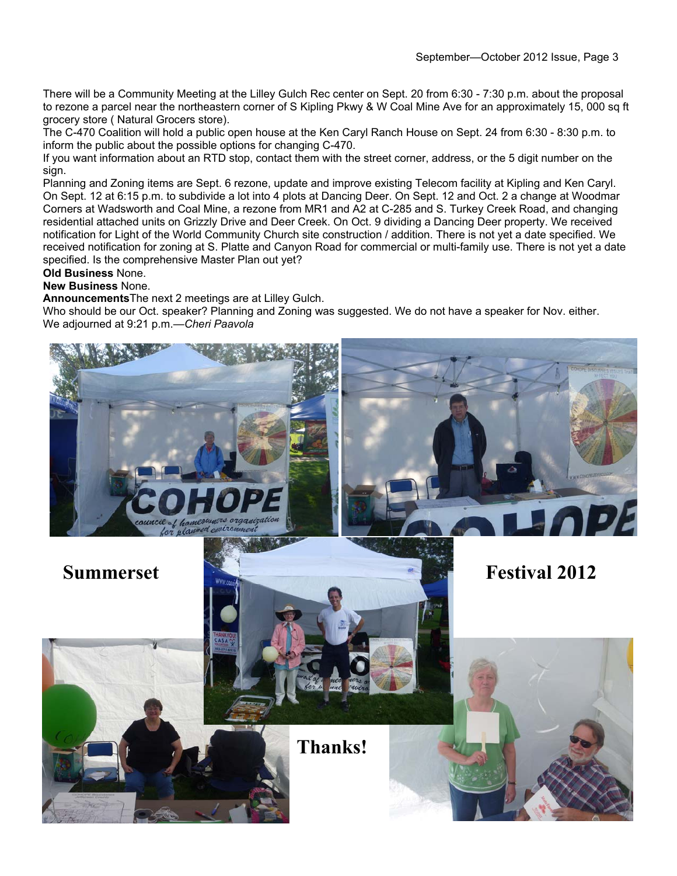There will be a Community Meeting at the Lilley Gulch Rec center on Sept. 20 from 6:30 - 7:30 p.m. about the proposal to rezone a parcel near the northeastern corner of S Kipling Pkwy & W Coal Mine Ave for an approximately 15, 000 sq ft grocery store ( Natural Grocers store).

The C-470 Coalition will hold a public open house at the Ken Caryl Ranch House on Sept. 24 from 6:30 - 8:30 p.m. to inform the public about the possible options for changing C-470.

If you want information about an RTD stop, contact them with the street corner, address, or the 5 digit number on the sign.

Planning and Zoning items are Sept. 6 rezone, update and improve existing Telecom facility at Kipling and Ken Caryl. On Sept. 12 at 6:15 p.m. to subdivide a lot into 4 plots at Dancing Deer. On Sept. 12 and Oct. 2 a change at Woodmar Corners at Wadsworth and Coal Mine, a rezone from MR1 and A2 at C-285 and S. Turkey Creek Road, and changing residential attached units on Grizzly Drive and Deer Creek. On Oct. 9 dividing a Dancing Deer property. We received notification for Light of the World Community Church site construction / addition. There is not yet a date specified. We received notification for zoning at S. Platte and Canyon Road for commercial or multi-family use. There is not yet a date specified. Is the comprehensive Master Plan out yet?

**Old Business** None.

**New Business** None.

**Announcements**The next 2 meetings are at Lilley Gulch.

Who should be our Oct. speaker? Planning and Zoning was suggested. We do not have a speaker for Nov. either. We adjourned at 9:21 p.m.—*Cheri Paavola*

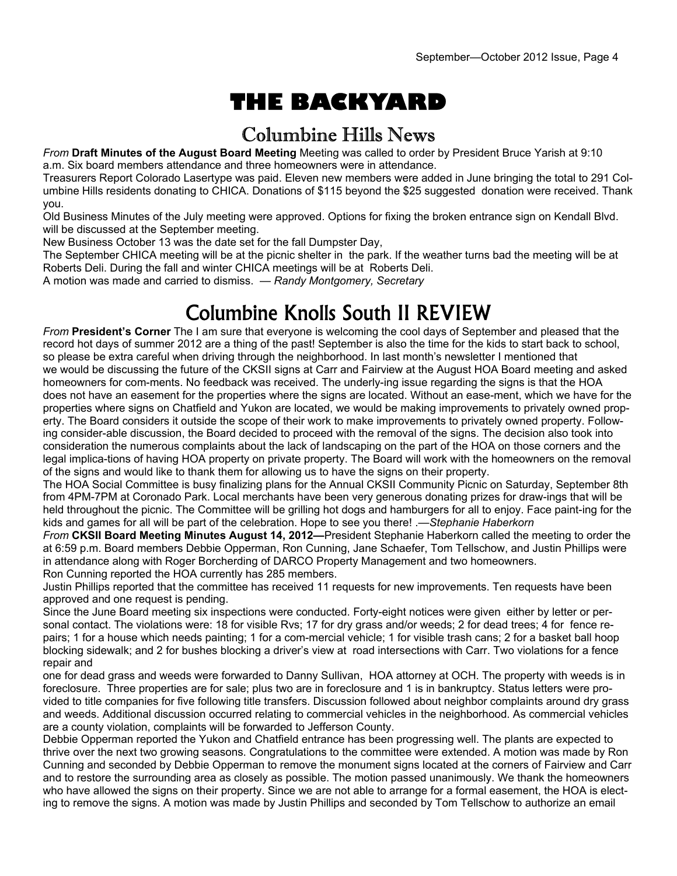# **THE BACKYARD**

#### Columbine Hills News

*From* **Draft Minutes of the August Board Meeting** Meeting was called to order by President Bruce Yarish at 9:10 a.m. Six board members attendance and three homeowners were in attendance.

Treasurers Report Colorado Lasertype was paid. Eleven new members were added in June bringing the total to 291 Columbine Hills residents donating to CHICA. Donations of \$115 beyond the \$25 suggested donation were received. Thank you.

Old Business Minutes of the July meeting were approved. Options for fixing the broken entrance sign on Kendall Blvd. will be discussed at the September meeting.

New Business October 13 was the date set for the fall Dumpster Day,

The September CHICA meeting will be at the picnic shelter in the park. If the weather turns bad the meeting will be at Roberts Deli. During the fall and winter CHICA meetings will be at Roberts Deli.

A motion was made and carried to dismiss. — *Randy Montgomery, Secretary* 

## Columbine Knolls South II REVIEW

*From* **President's Corner** The I am sure that everyone is welcoming the cool days of September and pleased that the record hot days of summer 2012 are a thing of the past! September is also the time for the kids to start back to school, so please be extra careful when driving through the neighborhood. In last month's newsletter I mentioned that we would be discussing the future of the CKSII signs at Carr and Fairview at the August HOA Board meeting and asked homeowners for com-ments. No feedback was received. The underly-ing issue regarding the signs is that the HOA does not have an easement for the properties where the signs are located. Without an ease-ment, which we have for the properties where signs on Chatfield and Yukon are located, we would be making improvements to privately owned property. The Board considers it outside the scope of their work to make improvements to privately owned property. Following consider-able discussion, the Board decided to proceed with the removal of the signs. The decision also took into consideration the numerous complaints about the lack of landscaping on the part of the HOA on those corners and the legal implica-tions of having HOA property on private property. The Board will work with the homeowners on the removal of the signs and would like to thank them for allowing us to have the signs on their property.

The HOA Social Committee is busy finalizing plans for the Annual CKSII Community Picnic on Saturday, September 8th from 4PM-7PM at Coronado Park. Local merchants have been very generous donating prizes for draw-ings that will be held throughout the picnic. The Committee will be grilling hot dogs and hamburgers for all to enjoy. Face paint-ing for the kids and games for all will be part of the celebration. Hope to see you there! .—*Stephanie Haberkorn* 

*From* **CKSII Board Meeting Minutes August 14, 2012—**President Stephanie Haberkorn called the meeting to order the at 6:59 p.m. Board members Debbie Opperman, Ron Cunning, Jane Schaefer, Tom Tellschow, and Justin Phillips were in attendance along with Roger Borcherding of DARCO Property Management and two homeowners. Ron Cunning reported the HOA currently has 285 members.

Justin Phillips reported that the committee has received 11 requests for new improvements. Ten requests have been approved and one request is pending.

Since the June Board meeting six inspections were conducted. Forty-eight notices were given either by letter or personal contact. The violations were: 18 for visible Rvs; 17 for dry grass and/or weeds; 2 for dead trees; 4 for fence repairs; 1 for a house which needs painting; 1 for a com-mercial vehicle; 1 for visible trash cans; 2 for a basket ball hoop blocking sidewalk; and 2 for bushes blocking a driver's view at road intersections with Carr. Two violations for a fence repair and

one for dead grass and weeds were forwarded to Danny Sullivan, HOA attorney at OCH. The property with weeds is in foreclosure. Three properties are for sale; plus two are in foreclosure and 1 is in bankruptcy. Status letters were provided to title companies for five following title transfers. Discussion followed about neighbor complaints around dry grass and weeds. Additional discussion occurred relating to commercial vehicles in the neighborhood. As commercial vehicles are a county violation, complaints will be forwarded to Jefferson County.

Debbie Opperman reported the Yukon and Chatfield entrance has been progressing well. The plants are expected to thrive over the next two growing seasons. Congratulations to the committee were extended. A motion was made by Ron Cunning and seconded by Debbie Opperman to remove the monument signs located at the corners of Fairview and Carr and to restore the surrounding area as closely as possible. The motion passed unanimously. We thank the homeowners who have allowed the signs on their property. Since we are not able to arrange for a formal easement, the HOA is electing to remove the signs. A motion was made by Justin Phillips and seconded by Tom Tellschow to authorize an email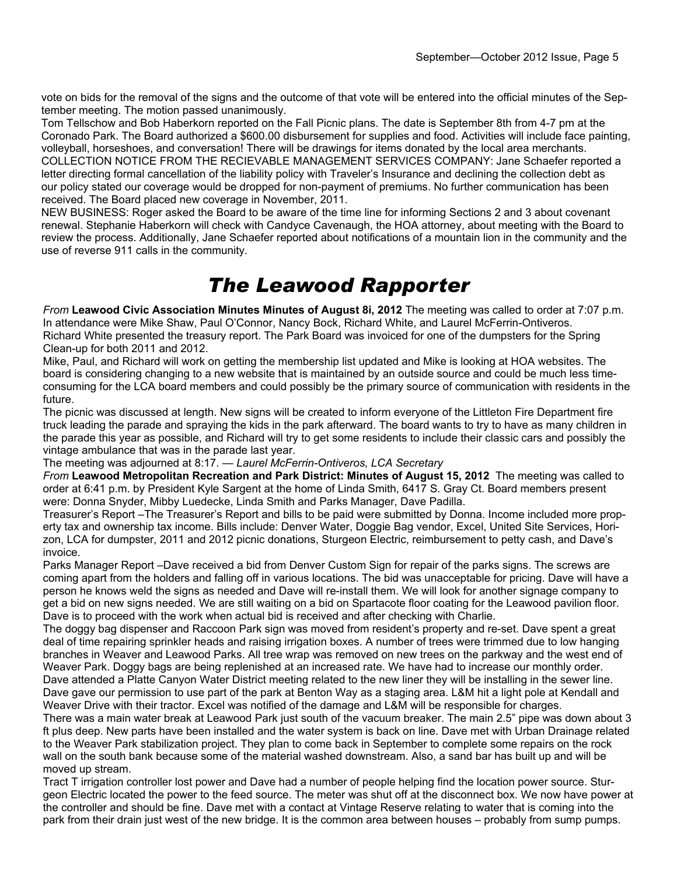vote on bids for the removal of the signs and the outcome of that vote will be entered into the official minutes of the September meeting. The motion passed unanimously.

Tom Tellschow and Bob Haberkorn reported on the Fall Picnic plans. The date is September 8th from 4-7 pm at the Coronado Park. The Board authorized a \$600.00 disbursement for supplies and food. Activities will include face painting, volleyball, horseshoes, and conversation! There will be drawings for items donated by the local area merchants. COLLECTION NOTICE FROM THE RECIEVABLE MANAGEMENT SERVICES COMPANY: Jane Schaefer reported a letter directing formal cancellation of the liability policy with Traveler's Insurance and declining the collection debt as our policy stated our coverage would be dropped for non-payment of premiums. No further communication has been received. The Board placed new coverage in November, 2011.

NEW BUSINESS: Roger asked the Board to be aware of the time line for informing Sections 2 and 3 about covenant renewal. Stephanie Haberkorn will check with Candyce Cavenaugh, the HOA attorney, about meeting with the Board to review the process. Additionally, Jane Schaefer reported about notifications of a mountain lion in the community and the use of reverse 911 calls in the community.

### *The Leawood Rapporter*

*From* **Leawood Civic Association Minutes Minutes of August 8i, 2012** The meeting was called to order at 7:07 p.m. In attendance were Mike Shaw, Paul O'Connor, Nancy Bock, Richard White, and Laurel McFerrin-Ontiveros. Richard White presented the treasury report. The Park Board was invoiced for one of the dumpsters for the Spring Clean-up for both 2011 and 2012.

Mike, Paul, and Richard will work on getting the membership list updated and Mike is looking at HOA websites. The board is considering changing to a new website that is maintained by an outside source and could be much less timeconsuming for the LCA board members and could possibly be the primary source of communication with residents in the future.

The picnic was discussed at length. New signs will be created to inform everyone of the Littleton Fire Department fire truck leading the parade and spraying the kids in the park afterward. The board wants to try to have as many children in the parade this year as possible, and Richard will try to get some residents to include their classic cars and possibly the vintage ambulance that was in the parade last year.

The meeting was adjourned at 8:17. — *Laurel McFerrin-Ontiveros, LCA Secretary* 

*From* **Leawood Metropolitan Recreation and Park District: Minutes of August 15, 2012** The meeting was called to order at 6:41 p.m. by President Kyle Sargent at the home of Linda Smith, 6417 S. Gray Ct. Board members present were: Donna Snyder, Mibby Luedecke, Linda Smith and Parks Manager, Dave Padilla.

Treasurer's Report –The Treasurer's Report and bills to be paid were submitted by Donna. Income included more property tax and ownership tax income. Bills include: Denver Water, Doggie Bag vendor, Excel, United Site Services, Horizon, LCA for dumpster, 2011 and 2012 picnic donations, Sturgeon Electric, reimbursement to petty cash, and Dave's invoice.

Parks Manager Report –Dave received a bid from Denver Custom Sign for repair of the parks signs. The screws are coming apart from the holders and falling off in various locations. The bid was unacceptable for pricing. Dave will have a person he knows weld the signs as needed and Dave will re-install them. We will look for another signage company to get a bid on new signs needed. We are still waiting on a bid on Spartacote floor coating for the Leawood pavilion floor. Dave is to proceed with the work when actual bid is received and after checking with Charlie.

The doggy bag dispenser and Raccoon Park sign was moved from resident's property and re-set. Dave spent a great deal of time repairing sprinkler heads and raising irrigation boxes. A number of trees were trimmed due to low hanging branches in Weaver and Leawood Parks. All tree wrap was removed on new trees on the parkway and the west end of Weaver Park. Doggy bags are being replenished at an increased rate. We have had to increase our monthly order. Dave attended a Platte Canyon Water District meeting related to the new liner they will be installing in the sewer line. Dave gave our permission to use part of the park at Benton Way as a staging area. L&M hit a light pole at Kendall and Weaver Drive with their tractor. Excel was notified of the damage and L&M will be responsible for charges.

There was a main water break at Leawood Park just south of the vacuum breaker. The main 2.5" pipe was down about 3 ft plus deep. New parts have been installed and the water system is back on line. Dave met with Urban Drainage related to the Weaver Park stabilization project. They plan to come back in September to complete some repairs on the rock wall on the south bank because some of the material washed downstream. Also, a sand bar has built up and will be moved up stream.

Tract T irrigation controller lost power and Dave had a number of people helping find the location power source. Sturgeon Electric located the power to the feed source. The meter was shut off at the disconnect box. We now have power at the controller and should be fine. Dave met with a contact at Vintage Reserve relating to water that is coming into the park from their drain just west of the new bridge. It is the common area between houses – probably from sump pumps.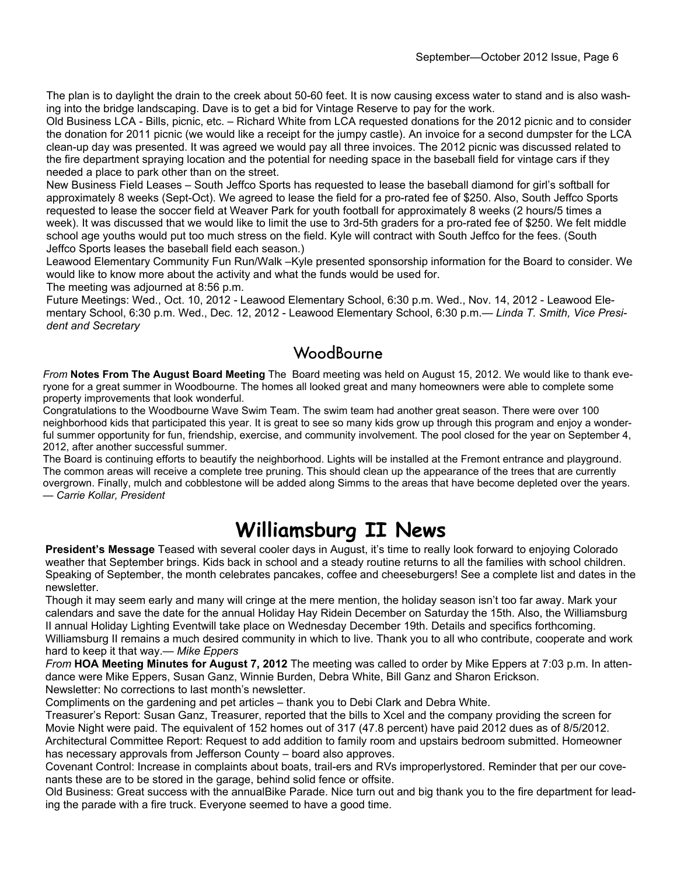The plan is to daylight the drain to the creek about 50-60 feet. It is now causing excess water to stand and is also washing into the bridge landscaping. Dave is to get a bid for Vintage Reserve to pay for the work.

Old Business LCA - Bills, picnic, etc. – Richard White from LCA requested donations for the 2012 picnic and to consider the donation for 2011 picnic (we would like a receipt for the jumpy castle). An invoice for a second dumpster for the LCA clean-up day was presented. It was agreed we would pay all three invoices. The 2012 picnic was discussed related to the fire department spraying location and the potential for needing space in the baseball field for vintage cars if they needed a place to park other than on the street.

New Business Field Leases – South Jeffco Sports has requested to lease the baseball diamond for girl's softball for approximately 8 weeks (Sept-Oct). We agreed to lease the field for a pro-rated fee of \$250. Also, South Jeffco Sports requested to lease the soccer field at Weaver Park for youth football for approximately 8 weeks (2 hours/5 times a week). It was discussed that we would like to limit the use to 3rd-5th graders for a pro-rated fee of \$250. We felt middle school age youths would put too much stress on the field. Kyle will contract with South Jeffco for the fees. (South Jeffco Sports leases the baseball field each season.)

Leawood Elementary Community Fun Run/Walk –Kyle presented sponsorship information for the Board to consider. We would like to know more about the activity and what the funds would be used for.

The meeting was adjourned at 8:56 p.m.

Future Meetings: Wed., Oct. 10, 2012 - Leawood Elementary School, 6:30 p.m. Wed., Nov. 14, 2012 - Leawood Elementary School, 6:30 p.m. Wed., Dec. 12, 2012 - Leawood Elementary School, 6:30 p.m.*— Linda T. Smith, Vice President and Secretary*

#### **WoodBourne**

*From* **Notes From The August Board Meeting** The Board meeting was held on August 15, 2012. We would like to thank everyone for a great summer in Woodbourne. The homes all looked great and many homeowners were able to complete some property improvements that look wonderful.

Congratulations to the Woodbourne Wave Swim Team. The swim team had another great season. There were over 100 neighborhood kids that participated this year. It is great to see so many kids grow up through this program and enjoy a wonderful summer opportunity for fun, friendship, exercise, and community involvement. The pool closed for the year on September 4, 2012, after another successful summer.

The Board is continuing efforts to beautify the neighborhood. Lights will be installed at the Fremont entrance and playground. The common areas will receive a complete tree pruning. This should clean up the appearance of the trees that are currently overgrown. Finally, mulch and cobblestone will be added along Simms to the areas that have become depleted over the years. *— Carrie Kollar, President*

### **Williamsburg II News**

**President's Message** Teased with several cooler days in August, it's time to really look forward to enjoying Colorado weather that September brings. Kids back in school and a steady routine returns to all the families with school children. Speaking of September, the month celebrates pancakes, coffee and cheeseburgers! See a complete list and dates in the newsletter.

Though it may seem early and many will cringe at the mere mention, the holiday season isn't too far away. Mark your calendars and save the date for the annual Holiday Hay Ridein December on Saturday the 15th. Also, the Williamsburg II annual Holiday Lighting Eventwill take place on Wednesday December 19th. Details and specifics forthcoming. Williamsburg II remains a much desired community in which to live. Thank you to all who contribute, cooperate and work hard to keep it that way.*— Mike Eppers* 

*From* **HOA Meeting Minutes for August 7, 2012** The meeting was called to order by Mike Eppers at 7:03 p.m. In attendance were Mike Eppers, Susan Ganz, Winnie Burden, Debra White, Bill Ganz and Sharon Erickson. Newsletter: No corrections to last month's newsletter.

Compliments on the gardening and pet articles – thank you to Debi Clark and Debra White.

Treasurer's Report: Susan Ganz, Treasurer, reported that the bills to Xcel and the company providing the screen for Movie Night were paid. The equivalent of 152 homes out of 317 (47.8 percent) have paid 2012 dues as of 8/5/2012. Architectural Committee Report: Request to add addition to family room and upstairs bedroom submitted. Homeowner has necessary approvals from Jefferson County – board also approves.

Covenant Control: Increase in complaints about boats, trail-ers and RVs improperlystored. Reminder that per our covenants these are to be stored in the garage, behind solid fence or offsite.

Old Business: Great success with the annualBike Parade. Nice turn out and big thank you to the fire department for leading the parade with a fire truck. Everyone seemed to have a good time.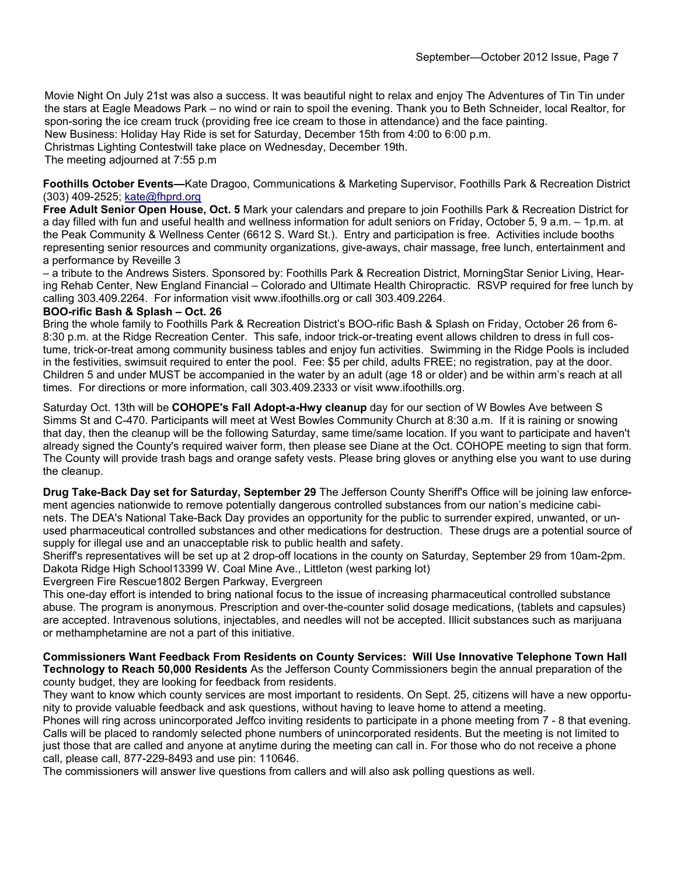Movie Night On July 21st was also a success. It was beautiful night to relax and enjoy The Adventures of Tin Tin under the stars at Eagle Meadows Park – no wind or rain to spoil the evening. Thank you to Beth Schneider, local Realtor, for spon-soring the ice cream truck (providing free ice cream to those in attendance) and the face painting.

New Business: Holiday Hay Ride is set for Saturday, December 15th from 4:00 to 6:00 p.m.

Christmas Lighting Contestwill take place on Wednesday, December 19th.

The meeting adjourned at 7:55 p.m

**Foothills October Events—**Kate Dragoo, Communications & Marketing Supervisor, Foothills Park & Recreation District (303) 409-2525; kate@fhprd.org

**Free Adult Senior Open House, Oct. 5** Mark your calendars and prepare to join Foothills Park & Recreation District for a day filled with fun and useful health and wellness information for adult seniors on Friday, October 5, 9 a.m. – 1p.m. at the Peak Community & Wellness Center (6612 S. Ward St.). Entry and participation is free. Activities include booths representing senior resources and community organizations, give-aways, chair massage, free lunch, entertainment and a performance by Reveille 3

– a tribute to the Andrews Sisters. Sponsored by: Foothills Park & Recreation District, MorningStar Senior Living, Hearing Rehab Center, New England Financial – Colorado and Ultimate Health Chiropractic. RSVP required for free lunch by calling 303.409.2264. For information visit www.ifoothills.org or call 303.409.2264.

#### **BOO-rific Bash & Splash – Oct. 26**

Bring the whole family to Foothills Park & Recreation District's BOO-rific Bash & Splash on Friday, October 26 from 6- 8:30 p.m. at the Ridge Recreation Center. This safe, indoor trick-or-treating event allows children to dress in full costume, trick-or-treat among community business tables and enjoy fun activities. Swimming in the Ridge Pools is included in the festivities, swimsuit required to enter the pool. Fee: \$5 per child, adults FREE; no registration, pay at the door. Children 5 and under MUST be accompanied in the water by an adult (age 18 or older) and be within arm's reach at all times. For directions or more information, call 303.409.2333 or visit www.ifoothills.org.

Saturday Oct. 13th will be **COHOPE's Fall Adopt-a-Hwy cleanup** day for our section of W Bowles Ave between S Simms St and C-470. Participants will meet at West Bowles Community Church at 8:30 a.m. If it is raining or snowing that day, then the cleanup will be the following Saturday, same time/same location. If you want to participate and haven't already signed the County's required waiver form, then please see Diane at the Oct. COHOPE meeting to sign that form. The County will provide trash bags and orange safety vests. Please bring gloves or anything else you want to use during the cleanup.

**Drug Take-Back Day set for Saturday, September 29** The Jefferson County Sheriff's Office will be joining law enforcement agencies nationwide to remove potentially dangerous controlled substances from our nation's medicine cabinets. The DEA's National Take-Back Day provides an opportunity for the public to surrender expired, unwanted, or unused pharmaceutical controlled substances and other medications for destruction. These drugs are a potential source of supply for illegal use and an unacceptable risk to public health and safety.

Sheriff's representatives will be set up at 2 drop-off locations in the county on Saturday, September 29 from 10am-2pm. Dakota Ridge High School13399 W. Coal Mine Ave., Littleton (west parking lot)

Evergreen Fire Rescue1802 Bergen Parkway, Evergreen

This one-day effort is intended to bring national focus to the issue of increasing pharmaceutical controlled substance abuse. The program is anonymous. Prescription and over-the-counter solid dosage medications, (tablets and capsules) are accepted. Intravenous solutions, injectables, and needles will not be accepted. Illicit substances such as marijuana or methamphetamine are not a part of this initiative.

**Commissioners Want Feedback From Residents on County Services: Will Use Innovative Telephone Town Hall Technology to Reach 50,000 Residents** As the Jefferson County Commissioners begin the annual preparation of the county budget, they are looking for feedback from residents.

They want to know which county services are most important to residents. On Sept. 25, citizens will have a new opportunity to provide valuable feedback and ask questions, without having to leave home to attend a meeting.

Phones will ring across unincorporated Jeffco inviting residents to participate in a phone meeting from 7 - 8 that evening. Calls will be placed to randomly selected phone numbers of unincorporated residents. But the meeting is not limited to just those that are called and anyone at anytime during the meeting can call in. For those who do not receive a phone call, please call, 877-229-8493 and use pin: 110646.

The commissioners will answer live questions from callers and will also ask polling questions as well.